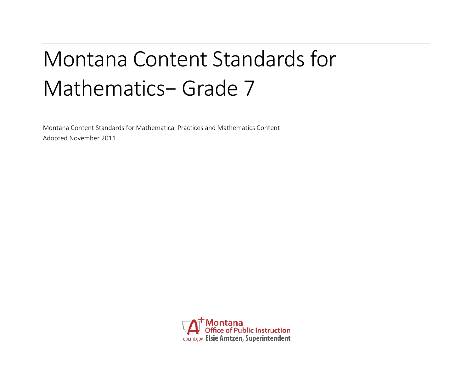# Montana Content Standards for Mathematics− Grade 7

Montana Content Standards for Mathematical Practices and Mathematics Content Adopted November 2011

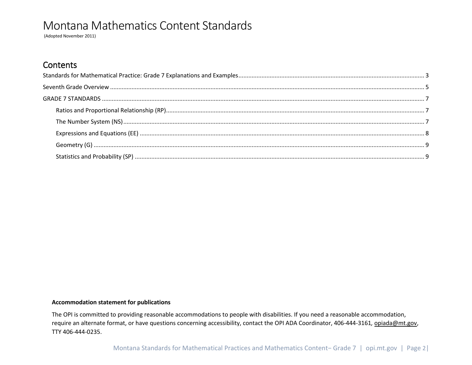(Adopted November 2011)

### **Contents**

#### **Accommodation statement for publications**

The OPI is committed to providing reasonable accommodations to people with disabilities. If you need a reasonable accommodation, require an alternate format, or have questions concerning accessibility, contact the OPI ADA Coordinator, 406-444-3161*,* [opiada@mt.gov,](mailto:opiada@mt.gov) TTY 406-444-0235.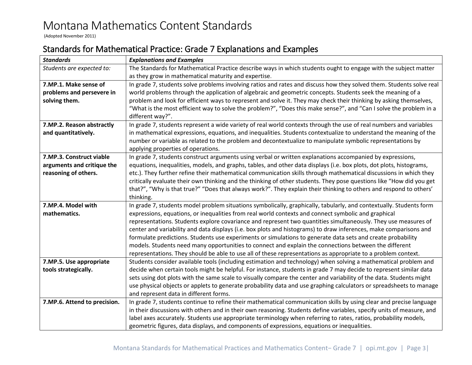(Adopted November 2011)

### <span id="page-2-0"></span>Standards for Mathematical Practice: Grade 7 Explanations and Examples

| <b>Standards</b>                                                                                                                        | <b>Explanations and Examples</b>                                                                                      |  |  |  |  |  |  |
|-----------------------------------------------------------------------------------------------------------------------------------------|-----------------------------------------------------------------------------------------------------------------------|--|--|--|--|--|--|
| Students are expected to:                                                                                                               | The Standards for Mathematical Practice describe ways in which students ought to engage with the subject matter       |  |  |  |  |  |  |
|                                                                                                                                         | as they grow in mathematical maturity and expertise.                                                                  |  |  |  |  |  |  |
| 7.MP.1. Make sense of                                                                                                                   | In grade 7, students solve problems involving ratios and rates and discuss how they solved them. Students solve real  |  |  |  |  |  |  |
| problems and persevere in<br>world problems through the application of algebraic and geometric concepts. Students seek the meaning of a |                                                                                                                       |  |  |  |  |  |  |
| solving them.                                                                                                                           | problem and look for efficient ways to represent and solve it. They may check their thinking by asking themselves,    |  |  |  |  |  |  |
|                                                                                                                                         | "What is the most efficient way to solve the problem?", "Does this make sense?", and "Can I solve the problem in a    |  |  |  |  |  |  |
|                                                                                                                                         | different way?".                                                                                                      |  |  |  |  |  |  |
| 7.MP.2. Reason abstractly                                                                                                               | In grade 7, students represent a wide variety of real world contexts through the use of real numbers and variables    |  |  |  |  |  |  |
| and quantitatively.                                                                                                                     | in mathematical expressions, equations, and inequalities. Students contextualize to understand the meaning of the     |  |  |  |  |  |  |
|                                                                                                                                         | number or variable as related to the problem and decontextualize to manipulate symbolic representations by            |  |  |  |  |  |  |
|                                                                                                                                         | applying properties of operations.                                                                                    |  |  |  |  |  |  |
| 7.MP.3. Construct viable                                                                                                                | In grade 7, students construct arguments using verbal or written explanations accompanied by expressions,             |  |  |  |  |  |  |
| arguments and critique the                                                                                                              | equations, inequalities, models, and graphs, tables, and other data displays (i.e. box plots, dot plots, histograms,  |  |  |  |  |  |  |
| reasoning of others.                                                                                                                    | etc.). They further refine their mathematical communication skills through mathematical discussions in which they     |  |  |  |  |  |  |
|                                                                                                                                         | critically evaluate their own thinking and the thinking of other students. They pose questions like "How did you get  |  |  |  |  |  |  |
|                                                                                                                                         | that?", "Why is that true?" "Does that always work?". They explain their thinking to others and respond to others'    |  |  |  |  |  |  |
|                                                                                                                                         | thinking.                                                                                                             |  |  |  |  |  |  |
| 7.MP.4. Model with                                                                                                                      | In grade 7, students model problem situations symbolically, graphically, tabularly, and contextually. Students form   |  |  |  |  |  |  |
| mathematics.                                                                                                                            | expressions, equations, or inequalities from real world contexts and connect symbolic and graphical                   |  |  |  |  |  |  |
|                                                                                                                                         | representations. Students explore covariance and represent two quantities simultaneously. They use measures of        |  |  |  |  |  |  |
|                                                                                                                                         | center and variability and data displays (i.e. box plots and histograms) to draw inferences, make comparisons and     |  |  |  |  |  |  |
|                                                                                                                                         | formulate predictions. Students use experiments or simulations to generate data sets and create probability           |  |  |  |  |  |  |
|                                                                                                                                         | models. Students need many opportunities to connect and explain the connections between the different                 |  |  |  |  |  |  |
|                                                                                                                                         | representations. They should be able to use all of these representations as appropriate to a problem context.         |  |  |  |  |  |  |
| 7.MP.5. Use appropriate                                                                                                                 | Students consider available tools (including estimation and technology) when solving a mathematical problem and       |  |  |  |  |  |  |
| tools strategically.                                                                                                                    | decide when certain tools might be helpful. For instance, students in grade 7 may decide to represent similar data    |  |  |  |  |  |  |
|                                                                                                                                         | sets using dot plots with the same scale to visually compare the center and variability of the data. Students might   |  |  |  |  |  |  |
|                                                                                                                                         | use physical objects or applets to generate probability data and use graphing calculators or spreadsheets to manage   |  |  |  |  |  |  |
|                                                                                                                                         | and represent data in different forms.                                                                                |  |  |  |  |  |  |
| 7.MP.6. Attend to precision.                                                                                                            | In grade 7, students continue to refine their mathematical communication skills by using clear and precise language   |  |  |  |  |  |  |
|                                                                                                                                         | in their discussions with others and in their own reasoning. Students define variables, specify units of measure, and |  |  |  |  |  |  |
|                                                                                                                                         | label axes accurately. Students use appropriate terminology when referring to rates, ratios, probability models,      |  |  |  |  |  |  |
|                                                                                                                                         | geometric figures, data displays, and components of expressions, equations or inequalities.                           |  |  |  |  |  |  |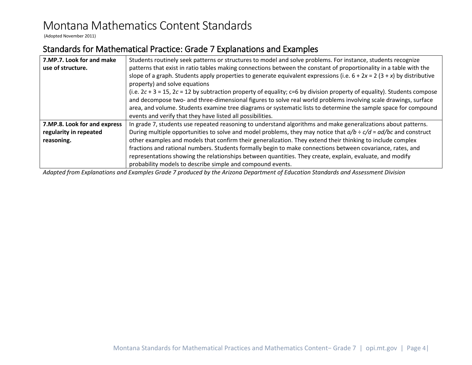(Adopted November 2011)

### Standards for Mathematical Practice: Grade 7 Explanations and Examples

| 7.MP.7. Look for and make    | Students routinely seek patterns or structures to model and solve problems. For instance, students recognize                 |  |  |  |  |  |  |
|------------------------------|------------------------------------------------------------------------------------------------------------------------------|--|--|--|--|--|--|
| use of structure.            | patterns that exist in ratio tables making connections between the constant of proportionality in a table with the           |  |  |  |  |  |  |
|                              | slope of a graph. Students apply properties to generate equivalent expressions (i.e. $6 + 2x = 2(3 + x)$ by distributive     |  |  |  |  |  |  |
|                              | property) and solve equations                                                                                                |  |  |  |  |  |  |
|                              | (i.e. $2c + 3 = 15$ , $2c = 12$ by subtraction property of equality; c=6 by division property of equality). Students compose |  |  |  |  |  |  |
|                              | and decompose two- and three-dimensional figures to solve real world problems involving scale drawings, surface              |  |  |  |  |  |  |
|                              | area, and volume. Students examine tree diagrams or systematic lists to determine the sample space for compound              |  |  |  |  |  |  |
|                              | events and verify that they have listed all possibilities.                                                                   |  |  |  |  |  |  |
| 7.MP.8. Look for and express | In grade 7, students use repeated reasoning to understand algorithms and make generalizations about patterns.                |  |  |  |  |  |  |
| regularity in repeated       | During multiple opportunities to solve and model problems, they may notice that $a/b \div c/d = ad/bc$ and construct         |  |  |  |  |  |  |
| reasoning.                   | other examples and models that confirm their generalization. They extend their thinking to include complex                   |  |  |  |  |  |  |
|                              | fractions and rational numbers. Students formally begin to make connections between covariance, rates, and                   |  |  |  |  |  |  |
|                              | representations showing the relationships between quantities. They create, explain, evaluate, and modify                     |  |  |  |  |  |  |
|                              | probability models to describe simple and compound events.                                                                   |  |  |  |  |  |  |

*Adapted from Explanations and Examples Grade 7 produced by the Arizona Department of Education Standards and Assessment Division*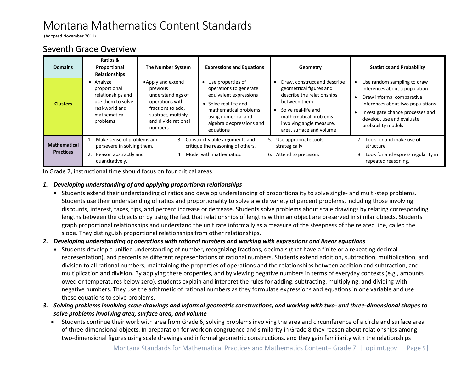(Adopted November 2011)

### <span id="page-4-0"></span>Seventh Grade Overview

| <b>Domains</b>                          | Ratios &<br>Proportional<br><b>Relationships</b>                                                                  | The Number System                                                                                                                                  | <b>Expressions and Equations</b>                                                                                                                                                           | Geometry                                                                                                                                                                                                      | <b>Statistics and Probability</b>                                                                                                                                                                                    |
|-----------------------------------------|-------------------------------------------------------------------------------------------------------------------|----------------------------------------------------------------------------------------------------------------------------------------------------|--------------------------------------------------------------------------------------------------------------------------------------------------------------------------------------------|---------------------------------------------------------------------------------------------------------------------------------------------------------------------------------------------------------------|----------------------------------------------------------------------------------------------------------------------------------------------------------------------------------------------------------------------|
| <b>Clusters</b>                         | • Analyze<br>proportional<br>relationships and<br>use them to solve<br>real-world and<br>mathematical<br>problems | •Apply and extend<br>previous<br>understandings of<br>operations with<br>fractions to add,<br>subtract, multiply<br>and divide rational<br>numbers | • Use properties of<br>operations to generate<br>equivalent expressions<br>• Solve real-life and<br>mathematical problems<br>using numerical and<br>algebraic expressions and<br>equations | Draw, construct and describe<br>geometrical figures and<br>describe the relationships<br>between them<br>Solve real-life and<br>mathematical problems<br>involving angle measure,<br>area, surface and volume | Use random sampling to draw<br>inferences about a population<br>Draw informal comparative<br>inferences about two populations<br>Investigate chance processes and<br>develop, use and evaluate<br>probability models |
| <b>Mathematical</b><br><b>Practices</b> | Make sense of problems and<br>persevere in solving them.<br>Reason abstractly and<br>quantitatively.              | 3.<br>4.                                                                                                                                           | Construct viable arguments and<br>critique the reasoning of others.<br>Model with mathematics.                                                                                             | 5. Use appropriate tools<br>strategically.<br>6. Attend to precision.                                                                                                                                         | 7. Look for and make use of<br>structure.<br>Look for and express regularity in<br>8.<br>repeated reasoning.                                                                                                         |

In Grade 7, instructional time should focus on four critical areas:

#### *1. Developing understanding of and applying proportional relationships*

• Students extend their understanding of ratios and develop understanding of proportionality to solve single- and multi-step problems. Students use their understanding of ratios and proportionality to solve a wide variety of percent problems, including those involving discounts, interest, taxes, tips, and percent increase or decrease. Students solve problems about scale drawings by relating corresponding lengths between the objects or by using the fact that relationships of lengths within an object are preserved in similar objects. Students graph proportional relationships and understand the unit rate informally as a measure of the steepness of the related line, called the slope. They distinguish proportional relationships from other relationships.

#### *2. Developing understanding of operations with rational numbers and working with expressions and linear equations*

- Students develop a unified understanding of number, recognizing fractions, decimals (that have a finite or a repeating decimal representation), and percents as different representations of rational numbers. Students extend addition, subtraction, multiplication, and division to all rational numbers, maintaining the properties of operations and the relationships between addition and subtraction, and multiplication and division. By applying these properties, and by viewing negative numbers in terms of everyday contexts (e.g., amounts owed or temperatures below zero), students explain and interpret the rules for adding, subtracting, multiplying, and dividing with negative numbers. They use the arithmetic of rational numbers as they formulate expressions and equations in one variable and use these equations to solve problems.
- *3. Solving problems involving scale drawings and informal geometric constructions, and working with two- and three-dimensional shapes to solve problems involving area, surface area, and volume*
	- Students continue their work with area from Grade 6, solving problems involving the area and circumference of a circle and surface area of three-dimensional objects. In preparation for work on congruence and similarity in Grade 8 they reason about relationships among two-dimensional figures using scale drawings and informal geometric constructions, and they gain familiarity with the relationships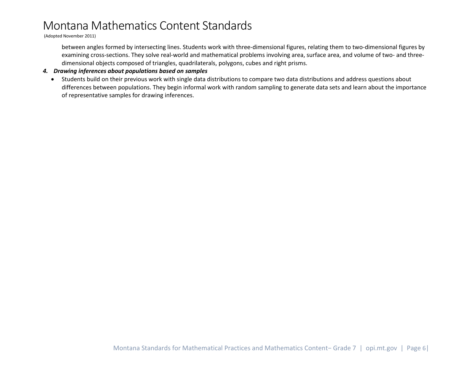(Adopted November 2011)

between angles formed by intersecting lines. Students work with three-dimensional figures, relating them to two-dimensional figures by examining cross-sections. They solve real-world and mathematical problems involving area, surface area, and volume of two- and threedimensional objects composed of triangles, quadrilaterals, polygons, cubes and right prisms.

#### *4. Drawing inferences about populations based on samples*

• Students build on their previous work with single data distributions to compare two data distributions and address questions about differences between populations. They begin informal work with random sampling to generate data sets and learn about the importance of representative samples for drawing inferences.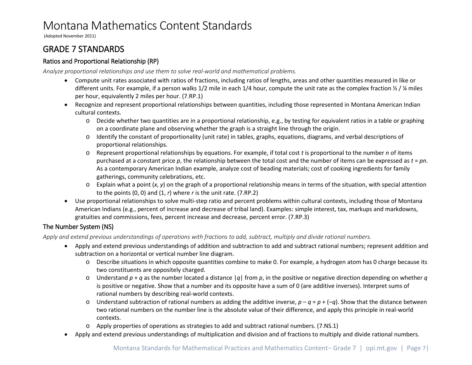(Adopted November 2011)

### <span id="page-6-0"></span>GRADE 7 STANDARDS

#### <span id="page-6-1"></span>Ratios and Proportional Relationship (RP)

*Analyze proportional relationships and use them to solve real-world and mathematical problems.*

- Compute unit rates associated with ratios of fractions, including ratios of lengths, areas and other quantities measured in like or different units. For example, if a person walks 1/2 mile in each 1/4 hour, compute the unit rate as the complex fraction  $\frac{1}{2}$  /  $\frac{1}{4}$  miles per hour, equivalently 2 miles per hour. (7.RP.1)
- Recognize and represent proportional relationships between quantities, including those represented in Montana American Indian cultural contexts.
	- o Decide whether two quantities are in a proportional relationship, e.g., by testing for equivalent ratios in a table or graphing on a coordinate plane and observing whether the graph is a straight line through the origin.
	- o Identify the constant of proportionality (unit rate) in tables, graphs, equations, diagrams, and verbal descriptions of proportional relationships.
	- o Represent proportional relationships by equations. For example, if total cost *t* is proportional to the number *n* of items purchased at a constant price *p*, the relationship between the total cost and the number of items can be expressed as *t* = *pn*. As a contemporary American Indian example, analyze cost of beading materials; cost of cooking ingredients for family gatherings, community celebrations, etc.
	- o Explain what a point (*x*, *y*) on the graph of a proportional relationship means in terms of the situation, with special attention to the points (0, 0) and (1, *r*) where *r* is the unit rate. (7.RP.2)
- Use proportional relationships to solve multi-step ratio and percent problems within cultural contexts, including those of Montana American Indians (e.g., percent of increase and decrease of tribal land). Examples: simple interest, tax, markups and markdowns, gratuities and commissions, fees, percent increase and decrease, percent error. (7.RP.3)

#### <span id="page-6-2"></span>The Number System (NS)

*Apply and extend previous understandings of operations with fractions to add, subtract, multiply and divide rational numbers.*

- Apply and extend previous understandings of addition and subtraction to add and subtract rational numbers; represent addition and subtraction on a horizontal or vertical number line diagram.
	- o Describe situations in which opposite quantities combine to make 0. For example, a hydrogen atom has 0 charge because its two constituents are oppositely charged.
	- o Understand *p* + *q* as the number located a distance |*q*| from *p*, in the positive or negative direction depending on whether *q* is positive or negative. Show that a number and its opposite have a sum of 0 (are additive inverses). Interpret sums of rational numbers by describing real-world contexts.
	- o Understand subtraction of rational numbers as adding the additive inverse,  $p q = p + (-q)$ . Show that the distance between two rational numbers on the number line is the absolute value of their difference, and apply this principle in real-world contexts.
	- o Apply properties of operations as strategies to add and subtract rational numbers. (7.NS.1)
- Apply and extend previous understandings of multiplication and division and of fractions to multiply and divide rational numbers.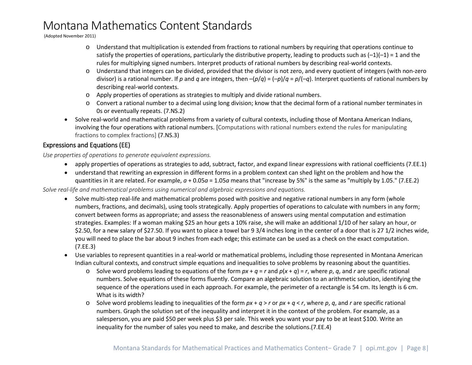(Adopted November 2011)

- o Understand that multiplication is extended from fractions to rational numbers by requiring that operations continue to satisfy the properties of operations, particularly the distributive property, leading to products such as  $(-1)(-1) = 1$  and the rules for multiplying signed numbers. Interpret products of rational numbers by describing real-world contexts.
- o Understand that integers can be divided, provided that the divisor is not zero, and every quotient of integers (with non-zero divisor) is a rational number. If *p* and *q* are integers, then –(*p*/*q*) = (–*p*)/*q* = *p*/(–*q*). Interpret quotients of rational numbers by describing real-world contexts.
- o Apply properties of operations as strategies to multiply and divide rational numbers.
- o Convert a rational number to a decimal using long division; know that the decimal form of a rational number terminates in 0s or eventually repeats. (7.NS.2)
- Solve real-world and mathematical problems from a variety of cultural contexts, including those of Montana American Indians, involving the four operations with rational numbers. [Computations with rational numbers extend the rules for manipulating fractions to complex fractions] (7.NS.3)

#### <span id="page-7-0"></span>Expressions and Equations (EE)

*Use properties of operations to generate equivalent expressions.*

- apply properties of operations as strategies to add, subtract, factor, and expand linear expressions with rational coefficients (7.EE.1)
- understand that rewriting an expression in different forms in a problem context can shed light on the problem and how the quantities in it are related. For example, *a* + 0.05*a* = 1.05*a* means that "increase by 5%" is the same as "multiply by 1.05." (7.EE.2)

*Solve real-life and mathematical problems using numerical and algebraic expressions and equations.*

- Solve multi-step real-life and mathematical problems posed with positive and negative rational numbers in any form (whole numbers, fractions, and decimals), using tools strategically. Apply properties of operations to calculate with numbers in any form; convert between forms as appropriate; and assess the reasonableness of answers using mental computation and estimation strategies. Examples: If a woman making \$25 an hour gets a 10% raise, she will make an additional 1/10 of her salary an hour, or \$2.50, for a new salary of \$27.50. If you want to place a towel bar 9 3/4 inches long in the center of a door that is 27 1/2 inches wide, you will need to place the bar about 9 inches from each edge; this estimate can be used as a check on the exact computation. (7.EE.3)
- Use variables to represent quantities in a real-world or mathematical problems, including those represented in Montana American Indian cultural contexts, and construct simple equations and inequalities to solve problems by reasoning about the quantities.
	- $\circ$  Solve word problems leading to equations of the form  $px + q = r$  and  $p(x + q) = r$ , where p, q, and r are specific rational numbers. Solve equations of these forms fluently. Compare an algebraic solution to an arithmetic solution, identifying the sequence of the operations used in each approach. For example, the perimeter of a rectangle is 54 cm. Its length is 6 cm. What is its width?
	- o Solve word problems leading to inequalities of the form *px* + *q* > *r* or *px* + *q* < *r*, where *p*, *q*, and *r* are specific rational numbers. Graph the solution set of the inequality and interpret it in the context of the problem. For example, as a salesperson, you are paid \$50 per week plus \$3 per sale. This week you want your pay to be at least \$100. Write an inequality for the number of sales you need to make, and describe the solutions.(7.EE.4)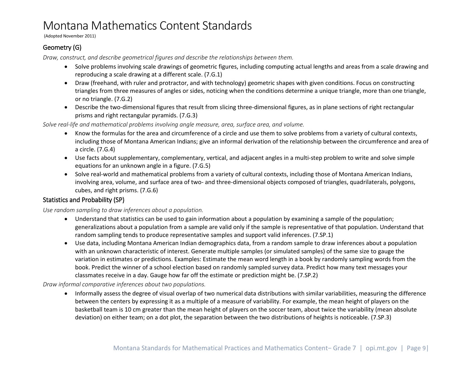(Adopted November 2011)

#### <span id="page-8-0"></span>Geometry (G)

*Draw, construct, and describe geometrical figures and describe the relationships between them.* 

- Solve problems involving scale drawings of geometric figures, including computing actual lengths and areas from a scale drawing and reproducing a scale drawing at a different scale. (7.G.1)
- Draw (freehand, with ruler and protractor, and with technology) geometric shapes with given conditions. Focus on constructing triangles from three measures of angles or sides, noticing when the conditions determine a unique triangle, more than one triangle, or no triangle. (7.G.2)
- Describe the two-dimensional figures that result from slicing three-dimensional figures, as in plane sections of right rectangular prisms and right rectangular pyramids. (7.G.3)

*Solve real-life and mathematical problems involving angle measure, area, surface area, and volume.*

- Know the formulas for the area and circumference of a circle and use them to solve problems from a variety of cultural contexts, including those of Montana American Indians; give an informal derivation of the relationship between the circumference and area of a circle. (7.G.4)
- Use facts about supplementary, complementary, vertical, and adjacent angles in a multi-step problem to write and solve simple equations for an unknown angle in a figure. (7.G.5)
- Solve real-world and mathematical problems from a variety of cultural contexts, including those of Montana American Indians, involving area, volume, and surface area of two- and three-dimensional objects composed of triangles, quadrilaterals, polygons, cubes, and right prisms. (7.G.6)

#### <span id="page-8-1"></span>Statistics and Probability (SP)

*Use random sampling to draw inferences about a population.*

- Understand that statistics can be used to gain information about a population by examining a sample of the population; generalizations about a population from a sample are valid only if the sample is representative of that population. Understand that random sampling tends to produce representative samples and support valid inferences. (7.SP.1)
- Use data, including Montana American Indian demographics data, from a random sample to draw inferences about a population with an unknown characteristic of interest. Generate multiple samples (or simulated samples) of the same size to gauge the variation in estimates or predictions. Examples: Estimate the mean word length in a book by randomly sampling words from the book. Predict the winner of a school election based on randomly sampled survey data. Predict how many text messages your classmates receive in a day. Gauge how far off the estimate or prediction might be. (7.SP.2)

*Draw informal comparative inferences about two populations.*

• Informally assess the degree of visual overlap of two numerical data distributions with similar variabilities, measuring the difference between the centers by expressing it as a multiple of a measure of variability. For example, the mean height of players on the basketball team is 10 cm greater than the mean height of players on the soccer team, about twice the variability (mean absolute deviation) on either team; on a dot plot, the separation between the two distributions of heights is noticeable. (7.SP.3)